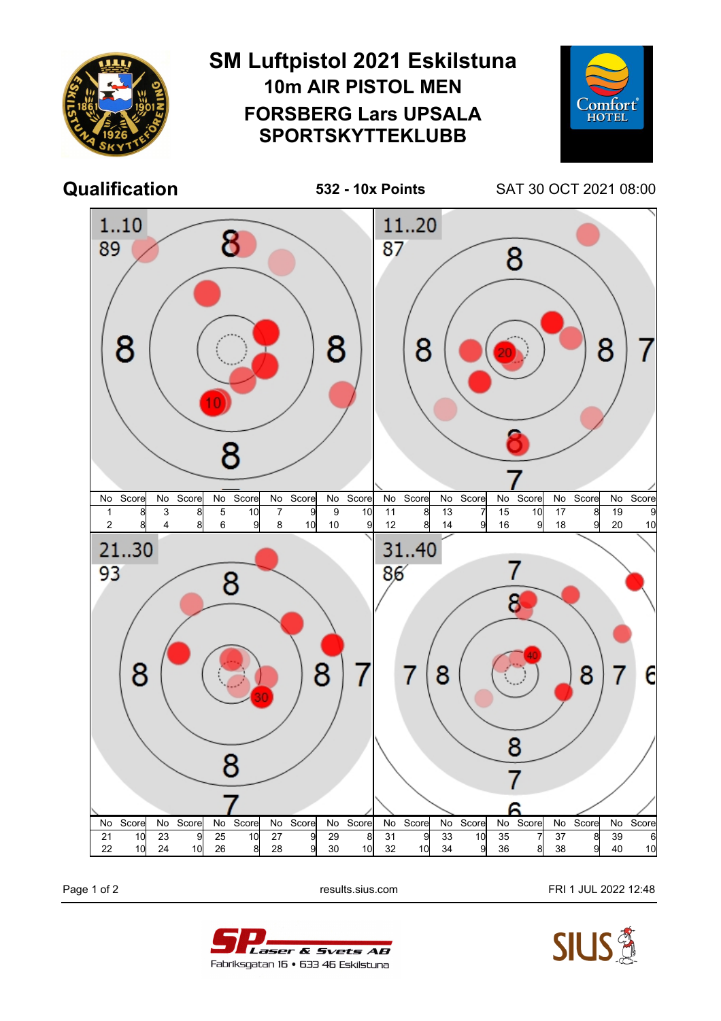

Page 1 of 2 **Page 1 of 2** results.sius.com **FRI 1 JUL 2022 12:48**